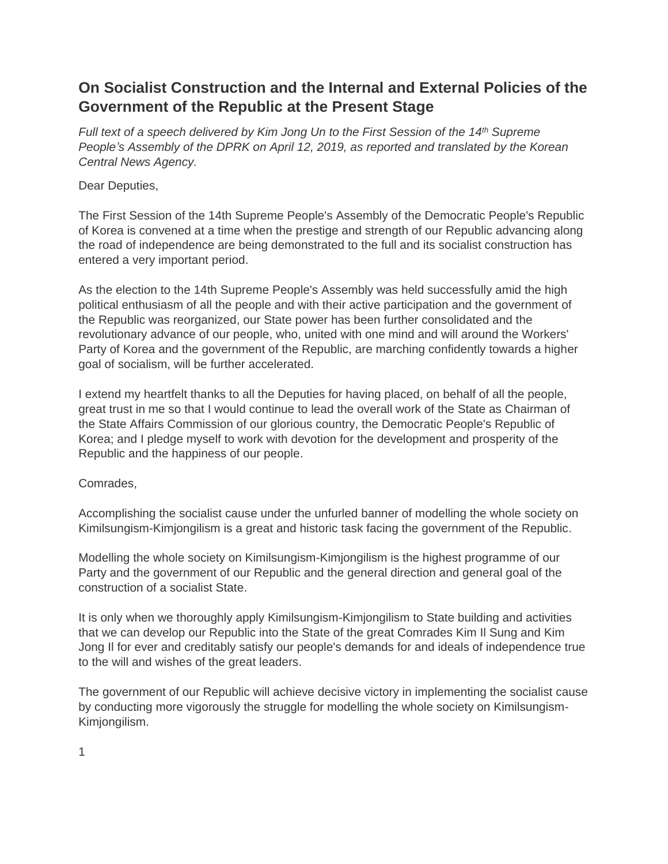# **On Socialist Construction and the Internal and External Policies of the Government of the Republic at the Present Stage**

*Full text of a speech delivered by Kim Jong Un to the First Session of the 14th Supreme People's Assembly of the DPRK on April 12, 2019, as reported and translated by the Korean Central News Agency.*

# Dear Deputies,

The First Session of the 14th Supreme People's Assembly of the Democratic People's Republic of Korea is convened at a time when the prestige and strength of our Republic advancing along the road of independence are being demonstrated to the full and its socialist construction has entered a very important period.

As the election to the 14th Supreme People's Assembly was held successfully amid the high political enthusiasm of all the people and with their active participation and the government of the Republic was reorganized, our State power has been further consolidated and the revolutionary advance of our people, who, united with one mind and will around the Workers' Party of Korea and the government of the Republic, are marching confidently towards a higher goal of socialism, will be further accelerated.

I extend my heartfelt thanks to all the Deputies for having placed, on behalf of all the people, great trust in me so that I would continue to lead the overall work of the State as Chairman of the State Affairs Commission of our glorious country, the Democratic People's Republic of Korea; and I pledge myself to work with devotion for the development and prosperity of the Republic and the happiness of our people.

#### Comrades,

Accomplishing the socialist cause under the unfurled banner of modelling the whole society on Kimilsungism-Kimjongilism is a great and historic task facing the government of the Republic.

Modelling the whole society on Kimilsungism-Kimjongilism is the highest programme of our Party and the government of our Republic and the general direction and general goal of the construction of a socialist State.

It is only when we thoroughly apply Kimilsungism-Kimjongilism to State building and activities that we can develop our Republic into the State of the great Comrades Kim Il Sung and Kim Jong Il for ever and creditably satisfy our people's demands for and ideals of independence true to the will and wishes of the great leaders.

The government of our Republic will achieve decisive victory in implementing the socialist cause by conducting more vigorously the struggle for modelling the whole society on Kimilsungism-Kimjongilism.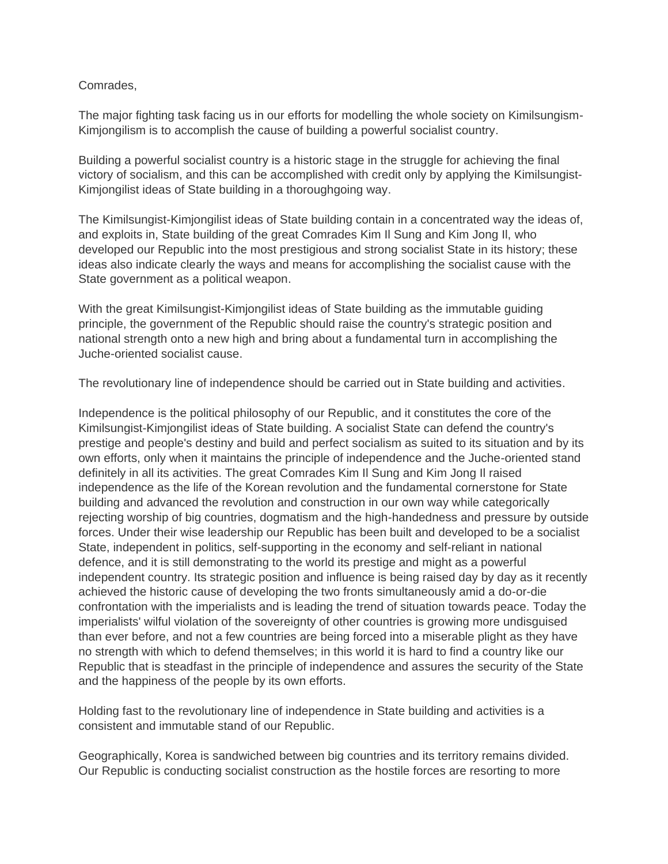### Comrades,

The major fighting task facing us in our efforts for modelling the whole society on Kimilsungism-Kimjongilism is to accomplish the cause of building a powerful socialist country.

Building a powerful socialist country is a historic stage in the struggle for achieving the final victory of socialism, and this can be accomplished with credit only by applying the Kimilsungist-Kimjongilist ideas of State building in a thoroughgoing way.

The Kimilsungist-Kimjongilist ideas of State building contain in a concentrated way the ideas of, and exploits in, State building of the great Comrades Kim Il Sung and Kim Jong Il, who developed our Republic into the most prestigious and strong socialist State in its history; these ideas also indicate clearly the ways and means for accomplishing the socialist cause with the State government as a political weapon.

With the great Kimilsungist-Kimjongilist ideas of State building as the immutable guiding principle, the government of the Republic should raise the country's strategic position and national strength onto a new high and bring about a fundamental turn in accomplishing the Juche-oriented socialist cause.

The revolutionary line of independence should be carried out in State building and activities.

Independence is the political philosophy of our Republic, and it constitutes the core of the Kimilsungist-Kimjongilist ideas of State building. A socialist State can defend the country's prestige and people's destiny and build and perfect socialism as suited to its situation and by its own efforts, only when it maintains the principle of independence and the Juche-oriented stand definitely in all its activities. The great Comrades Kim Il Sung and Kim Jong Il raised independence as the life of the Korean revolution and the fundamental cornerstone for State building and advanced the revolution and construction in our own way while categorically rejecting worship of big countries, dogmatism and the high-handedness and pressure by outside forces. Under their wise leadership our Republic has been built and developed to be a socialist State, independent in politics, self-supporting in the economy and self-reliant in national defence, and it is still demonstrating to the world its prestige and might as a powerful independent country. Its strategic position and influence is being raised day by day as it recently achieved the historic cause of developing the two fronts simultaneously amid a do-or-die confrontation with the imperialists and is leading the trend of situation towards peace. Today the imperialists' wilful violation of the sovereignty of other countries is growing more undisguised than ever before, and not a few countries are being forced into a miserable plight as they have no strength with which to defend themselves; in this world it is hard to find a country like our Republic that is steadfast in the principle of independence and assures the security of the State and the happiness of the people by its own efforts.

Holding fast to the revolutionary line of independence in State building and activities is a consistent and immutable stand of our Republic.

Geographically, Korea is sandwiched between big countries and its territory remains divided. Our Republic is conducting socialist construction as the hostile forces are resorting to more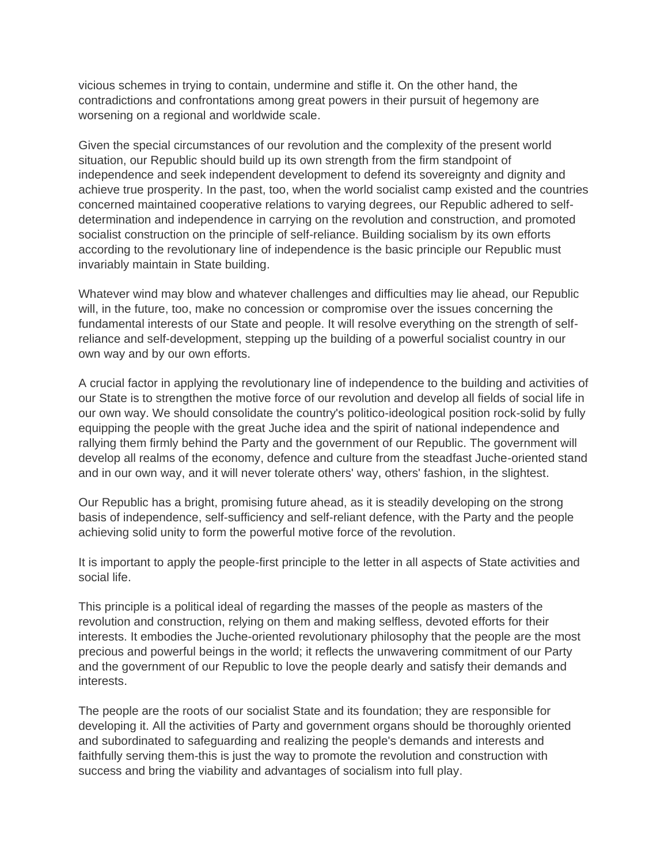vicious schemes in trying to contain, undermine and stifle it. On the other hand, the contradictions and confrontations among great powers in their pursuit of hegemony are worsening on a regional and worldwide scale.

Given the special circumstances of our revolution and the complexity of the present world situation, our Republic should build up its own strength from the firm standpoint of independence and seek independent development to defend its sovereignty and dignity and achieve true prosperity. In the past, too, when the world socialist camp existed and the countries concerned maintained cooperative relations to varying degrees, our Republic adhered to selfdetermination and independence in carrying on the revolution and construction, and promoted socialist construction on the principle of self-reliance. Building socialism by its own efforts according to the revolutionary line of independence is the basic principle our Republic must invariably maintain in State building.

Whatever wind may blow and whatever challenges and difficulties may lie ahead, our Republic will, in the future, too, make no concession or compromise over the issues concerning the fundamental interests of our State and people. It will resolve everything on the strength of selfreliance and self-development, stepping up the building of a powerful socialist country in our own way and by our own efforts.

A crucial factor in applying the revolutionary line of independence to the building and activities of our State is to strengthen the motive force of our revolution and develop all fields of social life in our own way. We should consolidate the country's politico-ideological position rock-solid by fully equipping the people with the great Juche idea and the spirit of national independence and rallying them firmly behind the Party and the government of our Republic. The government will develop all realms of the economy, defence and culture from the steadfast Juche-oriented stand and in our own way, and it will never tolerate others' way, others' fashion, in the slightest.

Our Republic has a bright, promising future ahead, as it is steadily developing on the strong basis of independence, self-sufficiency and self-reliant defence, with the Party and the people achieving solid unity to form the powerful motive force of the revolution.

It is important to apply the people-first principle to the letter in all aspects of State activities and social life.

This principle is a political ideal of regarding the masses of the people as masters of the revolution and construction, relying on them and making selfless, devoted efforts for their interests. It embodies the Juche-oriented revolutionary philosophy that the people are the most precious and powerful beings in the world; it reflects the unwavering commitment of our Party and the government of our Republic to love the people dearly and satisfy their demands and interests.

The people are the roots of our socialist State and its foundation; they are responsible for developing it. All the activities of Party and government organs should be thoroughly oriented and subordinated to safeguarding and realizing the people's demands and interests and faithfully serving them-this is just the way to promote the revolution and construction with success and bring the viability and advantages of socialism into full play.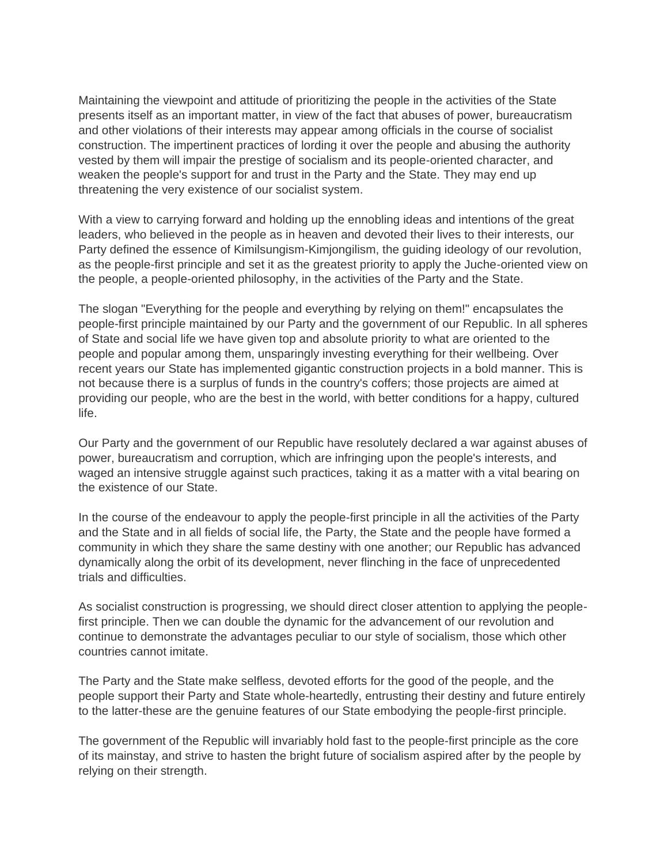Maintaining the viewpoint and attitude of prioritizing the people in the activities of the State presents itself as an important matter, in view of the fact that abuses of power, bureaucratism and other violations of their interests may appear among officials in the course of socialist construction. The impertinent practices of lording it over the people and abusing the authority vested by them will impair the prestige of socialism and its people-oriented character, and weaken the people's support for and trust in the Party and the State. They may end up threatening the very existence of our socialist system.

With a view to carrying forward and holding up the ennobling ideas and intentions of the great leaders, who believed in the people as in heaven and devoted their lives to their interests, our Party defined the essence of Kimilsungism-Kimjongilism, the guiding ideology of our revolution, as the people-first principle and set it as the greatest priority to apply the Juche-oriented view on the people, a people-oriented philosophy, in the activities of the Party and the State.

The slogan "Everything for the people and everything by relying on them!" encapsulates the people-first principle maintained by our Party and the government of our Republic. In all spheres of State and social life we have given top and absolute priority to what are oriented to the people and popular among them, unsparingly investing everything for their wellbeing. Over recent years our State has implemented gigantic construction projects in a bold manner. This is not because there is a surplus of funds in the country's coffers; those projects are aimed at providing our people, who are the best in the world, with better conditions for a happy, cultured life.

Our Party and the government of our Republic have resolutely declared a war against abuses of power, bureaucratism and corruption, which are infringing upon the people's interests, and waged an intensive struggle against such practices, taking it as a matter with a vital bearing on the existence of our State.

In the course of the endeavour to apply the people-first principle in all the activities of the Party and the State and in all fields of social life, the Party, the State and the people have formed a community in which they share the same destiny with one another; our Republic has advanced dynamically along the orbit of its development, never flinching in the face of unprecedented trials and difficulties.

As socialist construction is progressing, we should direct closer attention to applying the peoplefirst principle. Then we can double the dynamic for the advancement of our revolution and continue to demonstrate the advantages peculiar to our style of socialism, those which other countries cannot imitate.

The Party and the State make selfless, devoted efforts for the good of the people, and the people support their Party and State whole-heartedly, entrusting their destiny and future entirely to the latter-these are the genuine features of our State embodying the people-first principle.

The government of the Republic will invariably hold fast to the people-first principle as the core of its mainstay, and strive to hasten the bright future of socialism aspired after by the people by relying on their strength.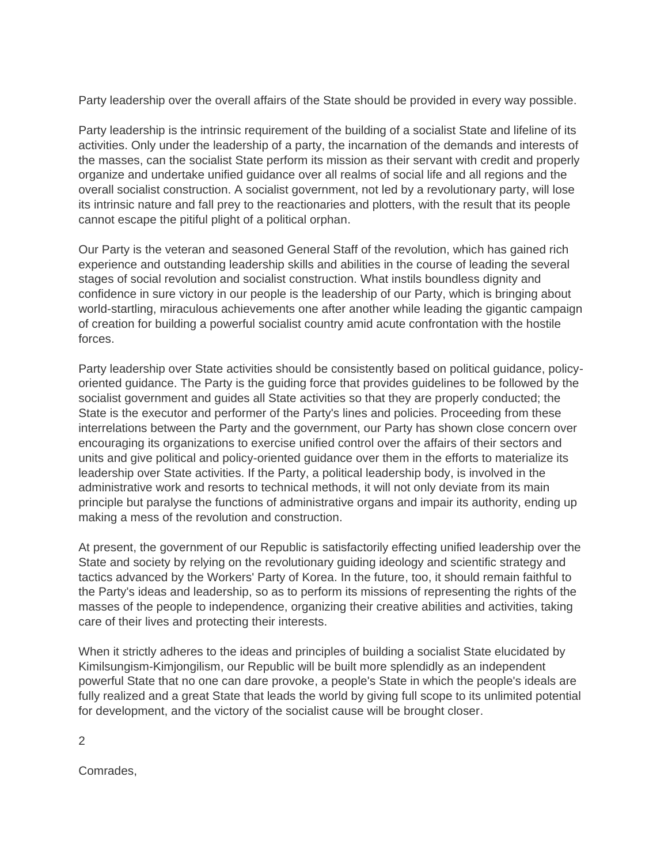Party leadership over the overall affairs of the State should be provided in every way possible.

Party leadership is the intrinsic requirement of the building of a socialist State and lifeline of its activities. Only under the leadership of a party, the incarnation of the demands and interests of the masses, can the socialist State perform its mission as their servant with credit and properly organize and undertake unified guidance over all realms of social life and all regions and the overall socialist construction. A socialist government, not led by a revolutionary party, will lose its intrinsic nature and fall prey to the reactionaries and plotters, with the result that its people cannot escape the pitiful plight of a political orphan.

Our Party is the veteran and seasoned General Staff of the revolution, which has gained rich experience and outstanding leadership skills and abilities in the course of leading the several stages of social revolution and socialist construction. What instils boundless dignity and confidence in sure victory in our people is the leadership of our Party, which is bringing about world-startling, miraculous achievements one after another while leading the gigantic campaign of creation for building a powerful socialist country amid acute confrontation with the hostile forces.

Party leadership over State activities should be consistently based on political guidance, policyoriented guidance. The Party is the guiding force that provides guidelines to be followed by the socialist government and guides all State activities so that they are properly conducted; the State is the executor and performer of the Party's lines and policies. Proceeding from these interrelations between the Party and the government, our Party has shown close concern over encouraging its organizations to exercise unified control over the affairs of their sectors and units and give political and policy-oriented guidance over them in the efforts to materialize its leadership over State activities. If the Party, a political leadership body, is involved in the administrative work and resorts to technical methods, it will not only deviate from its main principle but paralyse the functions of administrative organs and impair its authority, ending up making a mess of the revolution and construction.

At present, the government of our Republic is satisfactorily effecting unified leadership over the State and society by relying on the revolutionary guiding ideology and scientific strategy and tactics advanced by the Workers' Party of Korea. In the future, too, it should remain faithful to the Party's ideas and leadership, so as to perform its missions of representing the rights of the masses of the people to independence, organizing their creative abilities and activities, taking care of their lives and protecting their interests.

When it strictly adheres to the ideas and principles of building a socialist State elucidated by Kimilsungism-Kimjongilism, our Republic will be built more splendidly as an independent powerful State that no one can dare provoke, a people's State in which the people's ideals are fully realized and a great State that leads the world by giving full scope to its unlimited potential for development, and the victory of the socialist cause will be brought closer.

2

Comrades,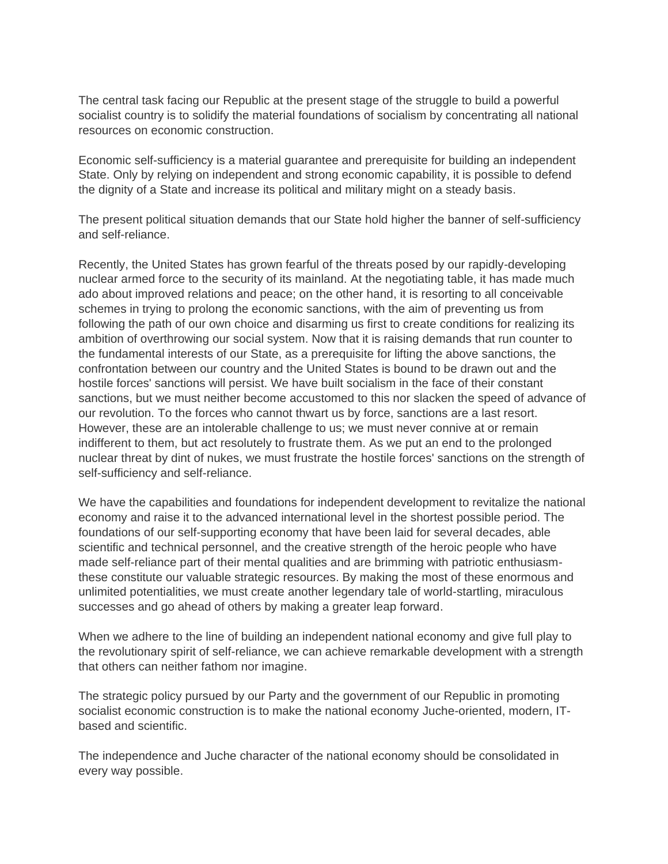The central task facing our Republic at the present stage of the struggle to build a powerful socialist country is to solidify the material foundations of socialism by concentrating all national resources on economic construction.

Economic self-sufficiency is a material guarantee and prerequisite for building an independent State. Only by relying on independent and strong economic capability, it is possible to defend the dignity of a State and increase its political and military might on a steady basis.

The present political situation demands that our State hold higher the banner of self-sufficiency and self-reliance.

Recently, the United States has grown fearful of the threats posed by our rapidly-developing nuclear armed force to the security of its mainland. At the negotiating table, it has made much ado about improved relations and peace; on the other hand, it is resorting to all conceivable schemes in trying to prolong the economic sanctions, with the aim of preventing us from following the path of our own choice and disarming us first to create conditions for realizing its ambition of overthrowing our social system. Now that it is raising demands that run counter to the fundamental interests of our State, as a prerequisite for lifting the above sanctions, the confrontation between our country and the United States is bound to be drawn out and the hostile forces' sanctions will persist. We have built socialism in the face of their constant sanctions, but we must neither become accustomed to this nor slacken the speed of advance of our revolution. To the forces who cannot thwart us by force, sanctions are a last resort. However, these are an intolerable challenge to us; we must never connive at or remain indifferent to them, but act resolutely to frustrate them. As we put an end to the prolonged nuclear threat by dint of nukes, we must frustrate the hostile forces' sanctions on the strength of self-sufficiency and self-reliance.

We have the capabilities and foundations for independent development to revitalize the national economy and raise it to the advanced international level in the shortest possible period. The foundations of our self-supporting economy that have been laid for several decades, able scientific and technical personnel, and the creative strength of the heroic people who have made self-reliance part of their mental qualities and are brimming with patriotic enthusiasmthese constitute our valuable strategic resources. By making the most of these enormous and unlimited potentialities, we must create another legendary tale of world-startling, miraculous successes and go ahead of others by making a greater leap forward.

When we adhere to the line of building an independent national economy and give full play to the revolutionary spirit of self-reliance, we can achieve remarkable development with a strength that others can neither fathom nor imagine.

The strategic policy pursued by our Party and the government of our Republic in promoting socialist economic construction is to make the national economy Juche-oriented, modern, ITbased and scientific.

The independence and Juche character of the national economy should be consolidated in every way possible.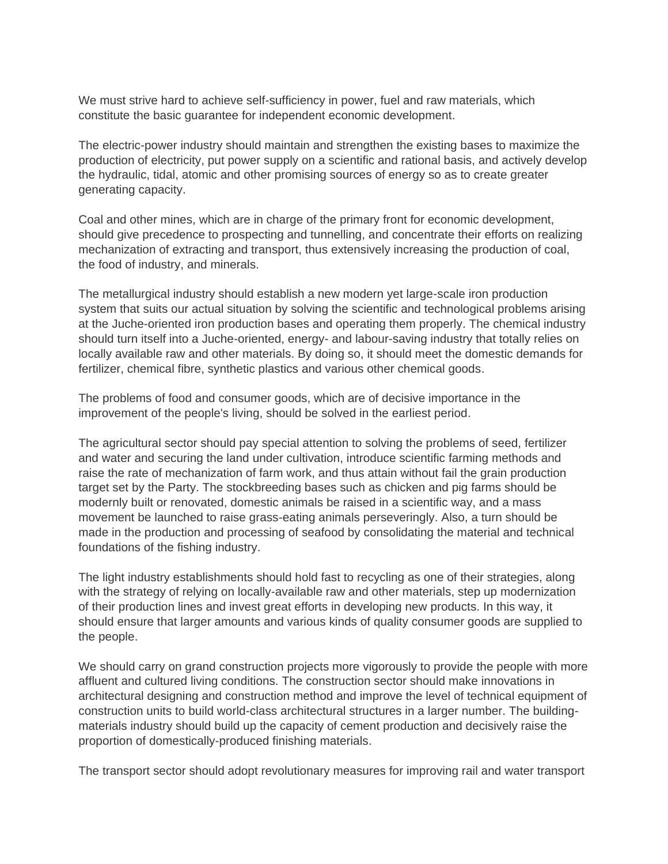We must strive hard to achieve self-sufficiency in power, fuel and raw materials, which constitute the basic guarantee for independent economic development.

The electric-power industry should maintain and strengthen the existing bases to maximize the production of electricity, put power supply on a scientific and rational basis, and actively develop the hydraulic, tidal, atomic and other promising sources of energy so as to create greater generating capacity.

Coal and other mines, which are in charge of the primary front for economic development, should give precedence to prospecting and tunnelling, and concentrate their efforts on realizing mechanization of extracting and transport, thus extensively increasing the production of coal, the food of industry, and minerals.

The metallurgical industry should establish a new modern yet large-scale iron production system that suits our actual situation by solving the scientific and technological problems arising at the Juche-oriented iron production bases and operating them properly. The chemical industry should turn itself into a Juche-oriented, energy- and labour-saving industry that totally relies on locally available raw and other materials. By doing so, it should meet the domestic demands for fertilizer, chemical fibre, synthetic plastics and various other chemical goods.

The problems of food and consumer goods, which are of decisive importance in the improvement of the people's living, should be solved in the earliest period.

The agricultural sector should pay special attention to solving the problems of seed, fertilizer and water and securing the land under cultivation, introduce scientific farming methods and raise the rate of mechanization of farm work, and thus attain without fail the grain production target set by the Party. The stockbreeding bases such as chicken and pig farms should be modernly built or renovated, domestic animals be raised in a scientific way, and a mass movement be launched to raise grass-eating animals perseveringly. Also, a turn should be made in the production and processing of seafood by consolidating the material and technical foundations of the fishing industry.

The light industry establishments should hold fast to recycling as one of their strategies, along with the strategy of relying on locally-available raw and other materials, step up modernization of their production lines and invest great efforts in developing new products. In this way, it should ensure that larger amounts and various kinds of quality consumer goods are supplied to the people.

We should carry on grand construction projects more vigorously to provide the people with more affluent and cultured living conditions. The construction sector should make innovations in architectural designing and construction method and improve the level of technical equipment of construction units to build world-class architectural structures in a larger number. The buildingmaterials industry should build up the capacity of cement production and decisively raise the proportion of domestically-produced finishing materials.

The transport sector should adopt revolutionary measures for improving rail and water transport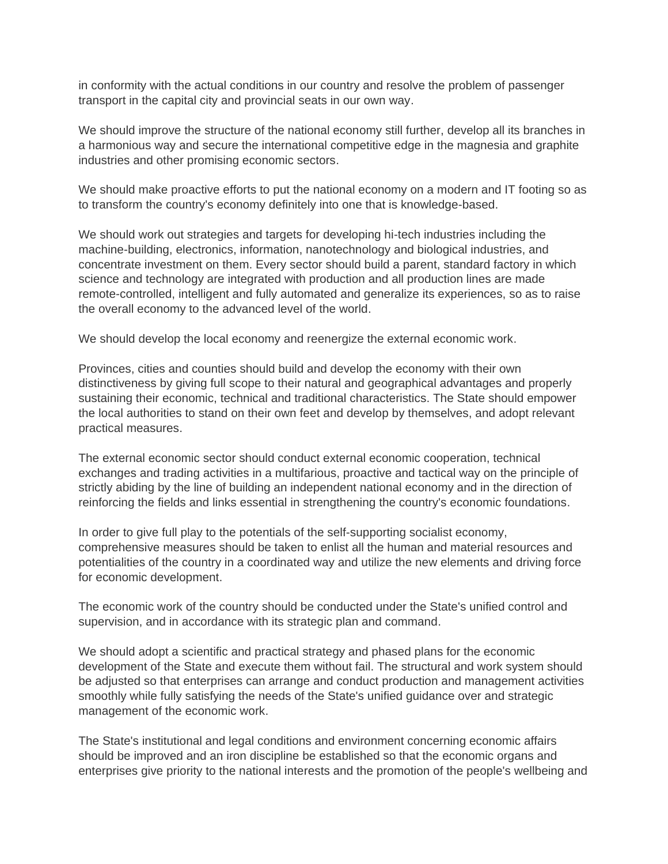in conformity with the actual conditions in our country and resolve the problem of passenger transport in the capital city and provincial seats in our own way.

We should improve the structure of the national economy still further, develop all its branches in a harmonious way and secure the international competitive edge in the magnesia and graphite industries and other promising economic sectors.

We should make proactive efforts to put the national economy on a modern and IT footing so as to transform the country's economy definitely into one that is knowledge-based.

We should work out strategies and targets for developing hi-tech industries including the machine-building, electronics, information, nanotechnology and biological industries, and concentrate investment on them. Every sector should build a parent, standard factory in which science and technology are integrated with production and all production lines are made remote-controlled, intelligent and fully automated and generalize its experiences, so as to raise the overall economy to the advanced level of the world.

We should develop the local economy and reenergize the external economic work.

Provinces, cities and counties should build and develop the economy with their own distinctiveness by giving full scope to their natural and geographical advantages and properly sustaining their economic, technical and traditional characteristics. The State should empower the local authorities to stand on their own feet and develop by themselves, and adopt relevant practical measures.

The external economic sector should conduct external economic cooperation, technical exchanges and trading activities in a multifarious, proactive and tactical way on the principle of strictly abiding by the line of building an independent national economy and in the direction of reinforcing the fields and links essential in strengthening the country's economic foundations.

In order to give full play to the potentials of the self-supporting socialist economy, comprehensive measures should be taken to enlist all the human and material resources and potentialities of the country in a coordinated way and utilize the new elements and driving force for economic development.

The economic work of the country should be conducted under the State's unified control and supervision, and in accordance with its strategic plan and command.

We should adopt a scientific and practical strategy and phased plans for the economic development of the State and execute them without fail. The structural and work system should be adjusted so that enterprises can arrange and conduct production and management activities smoothly while fully satisfying the needs of the State's unified guidance over and strategic management of the economic work.

The State's institutional and legal conditions and environment concerning economic affairs should be improved and an iron discipline be established so that the economic organs and enterprises give priority to the national interests and the promotion of the people's wellbeing and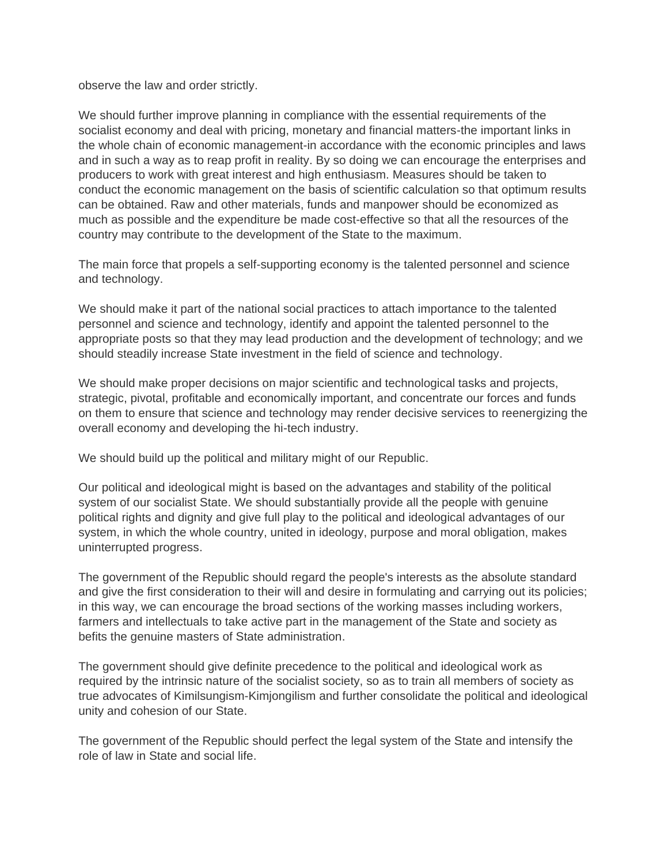observe the law and order strictly.

We should further improve planning in compliance with the essential requirements of the socialist economy and deal with pricing, monetary and financial matters-the important links in the whole chain of economic management-in accordance with the economic principles and laws and in such a way as to reap profit in reality. By so doing we can encourage the enterprises and producers to work with great interest and high enthusiasm. Measures should be taken to conduct the economic management on the basis of scientific calculation so that optimum results can be obtained. Raw and other materials, funds and manpower should be economized as much as possible and the expenditure be made cost-effective so that all the resources of the country may contribute to the development of the State to the maximum.

The main force that propels a self-supporting economy is the talented personnel and science and technology.

We should make it part of the national social practices to attach importance to the talented personnel and science and technology, identify and appoint the talented personnel to the appropriate posts so that they may lead production and the development of technology; and we should steadily increase State investment in the field of science and technology.

We should make proper decisions on major scientific and technological tasks and projects, strategic, pivotal, profitable and economically important, and concentrate our forces and funds on them to ensure that science and technology may render decisive services to reenergizing the overall economy and developing the hi-tech industry.

We should build up the political and military might of our Republic.

Our political and ideological might is based on the advantages and stability of the political system of our socialist State. We should substantially provide all the people with genuine political rights and dignity and give full play to the political and ideological advantages of our system, in which the whole country, united in ideology, purpose and moral obligation, makes uninterrupted progress.

The government of the Republic should regard the people's interests as the absolute standard and give the first consideration to their will and desire in formulating and carrying out its policies; in this way, we can encourage the broad sections of the working masses including workers, farmers and intellectuals to take active part in the management of the State and society as befits the genuine masters of State administration.

The government should give definite precedence to the political and ideological work as required by the intrinsic nature of the socialist society, so as to train all members of society as true advocates of Kimilsungism-Kimjongilism and further consolidate the political and ideological unity and cohesion of our State.

The government of the Republic should perfect the legal system of the State and intensify the role of law in State and social life.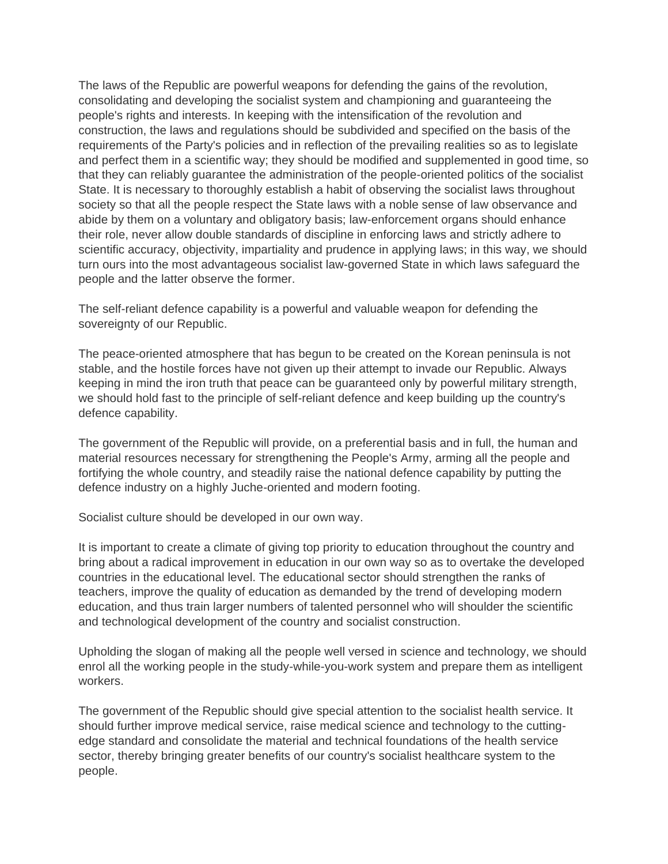The laws of the Republic are powerful weapons for defending the gains of the revolution, consolidating and developing the socialist system and championing and guaranteeing the people's rights and interests. In keeping with the intensification of the revolution and construction, the laws and regulations should be subdivided and specified on the basis of the requirements of the Party's policies and in reflection of the prevailing realities so as to legislate and perfect them in a scientific way; they should be modified and supplemented in good time, so that they can reliably guarantee the administration of the people-oriented politics of the socialist State. It is necessary to thoroughly establish a habit of observing the socialist laws throughout society so that all the people respect the State laws with a noble sense of law observance and abide by them on a voluntary and obligatory basis; law-enforcement organs should enhance their role, never allow double standards of discipline in enforcing laws and strictly adhere to scientific accuracy, objectivity, impartiality and prudence in applying laws; in this way, we should turn ours into the most advantageous socialist law-governed State in which laws safeguard the people and the latter observe the former.

The self-reliant defence capability is a powerful and valuable weapon for defending the sovereignty of our Republic.

The peace-oriented atmosphere that has begun to be created on the Korean peninsula is not stable, and the hostile forces have not given up their attempt to invade our Republic. Always keeping in mind the iron truth that peace can be guaranteed only by powerful military strength, we should hold fast to the principle of self-reliant defence and keep building up the country's defence capability.

The government of the Republic will provide, on a preferential basis and in full, the human and material resources necessary for strengthening the People's Army, arming all the people and fortifying the whole country, and steadily raise the national defence capability by putting the defence industry on a highly Juche-oriented and modern footing.

Socialist culture should be developed in our own way.

It is important to create a climate of giving top priority to education throughout the country and bring about a radical improvement in education in our own way so as to overtake the developed countries in the educational level. The educational sector should strengthen the ranks of teachers, improve the quality of education as demanded by the trend of developing modern education, and thus train larger numbers of talented personnel who will shoulder the scientific and technological development of the country and socialist construction.

Upholding the slogan of making all the people well versed in science and technology, we should enrol all the working people in the study-while-you-work system and prepare them as intelligent workers.

The government of the Republic should give special attention to the socialist health service. It should further improve medical service, raise medical science and technology to the cuttingedge standard and consolidate the material and technical foundations of the health service sector, thereby bringing greater benefits of our country's socialist healthcare system to the people.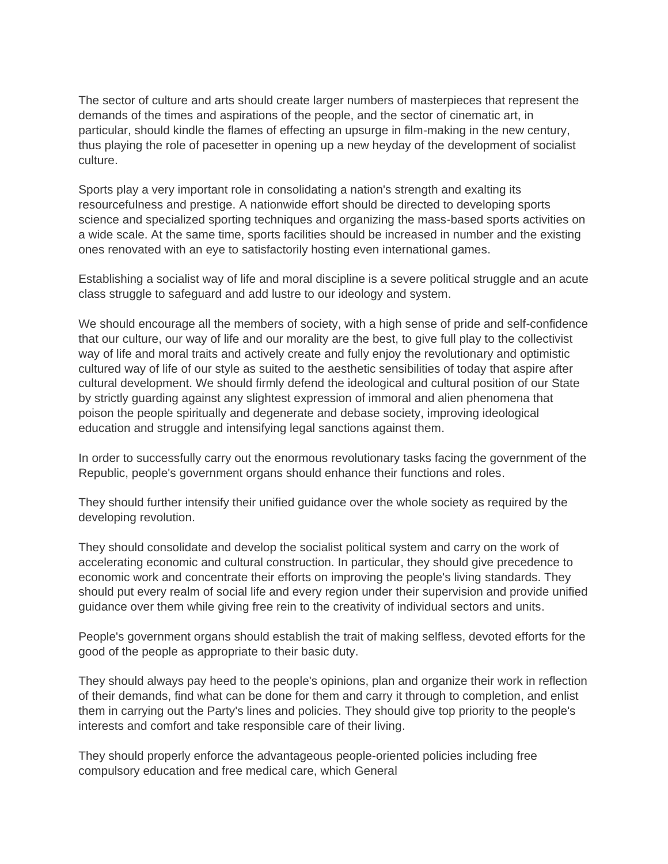The sector of culture and arts should create larger numbers of masterpieces that represent the demands of the times and aspirations of the people, and the sector of cinematic art, in particular, should kindle the flames of effecting an upsurge in film-making in the new century, thus playing the role of pacesetter in opening up a new heyday of the development of socialist culture.

Sports play a very important role in consolidating a nation's strength and exalting its resourcefulness and prestige. A nationwide effort should be directed to developing sports science and specialized sporting techniques and organizing the mass-based sports activities on a wide scale. At the same time, sports facilities should be increased in number and the existing ones renovated with an eye to satisfactorily hosting even international games.

Establishing a socialist way of life and moral discipline is a severe political struggle and an acute class struggle to safeguard and add lustre to our ideology and system.

We should encourage all the members of society, with a high sense of pride and self-confidence that our culture, our way of life and our morality are the best, to give full play to the collectivist way of life and moral traits and actively create and fully enjoy the revolutionary and optimistic cultured way of life of our style as suited to the aesthetic sensibilities of today that aspire after cultural development. We should firmly defend the ideological and cultural position of our State by strictly guarding against any slightest expression of immoral and alien phenomena that poison the people spiritually and degenerate and debase society, improving ideological education and struggle and intensifying legal sanctions against them.

In order to successfully carry out the enormous revolutionary tasks facing the government of the Republic, people's government organs should enhance their functions and roles.

They should further intensify their unified guidance over the whole society as required by the developing revolution.

They should consolidate and develop the socialist political system and carry on the work of accelerating economic and cultural construction. In particular, they should give precedence to economic work and concentrate their efforts on improving the people's living standards. They should put every realm of social life and every region under their supervision and provide unified guidance over them while giving free rein to the creativity of individual sectors and units.

People's government organs should establish the trait of making selfless, devoted efforts for the good of the people as appropriate to their basic duty.

They should always pay heed to the people's opinions, plan and organize their work in reflection of their demands, find what can be done for them and carry it through to completion, and enlist them in carrying out the Party's lines and policies. They should give top priority to the people's interests and comfort and take responsible care of their living.

They should properly enforce the advantageous people-oriented policies including free compulsory education and free medical care, which General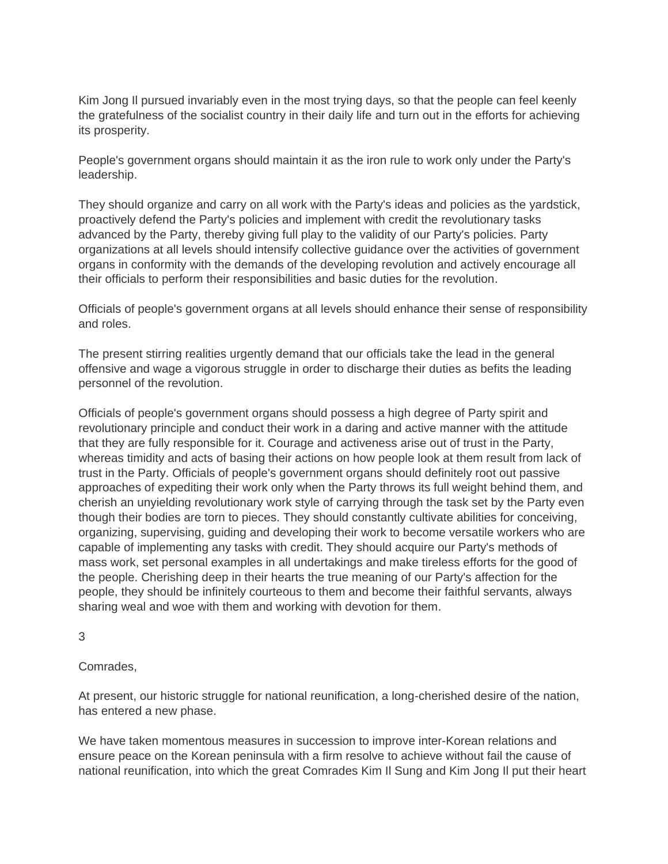Kim Jong Il pursued invariably even in the most trying days, so that the people can feel keenly the gratefulness of the socialist country in their daily life and turn out in the efforts for achieving its prosperity.

People's government organs should maintain it as the iron rule to work only under the Party's leadership.

They should organize and carry on all work with the Party's ideas and policies as the yardstick, proactively defend the Party's policies and implement with credit the revolutionary tasks advanced by the Party, thereby giving full play to the validity of our Party's policies. Party organizations at all levels should intensify collective guidance over the activities of government organs in conformity with the demands of the developing revolution and actively encourage all their officials to perform their responsibilities and basic duties for the revolution.

Officials of people's government organs at all levels should enhance their sense of responsibility and roles.

The present stirring realities urgently demand that our officials take the lead in the general offensive and wage a vigorous struggle in order to discharge their duties as befits the leading personnel of the revolution.

Officials of people's government organs should possess a high degree of Party spirit and revolutionary principle and conduct their work in a daring and active manner with the attitude that they are fully responsible for it. Courage and activeness arise out of trust in the Party, whereas timidity and acts of basing their actions on how people look at them result from lack of trust in the Party. Officials of people's government organs should definitely root out passive approaches of expediting their work only when the Party throws its full weight behind them, and cherish an unyielding revolutionary work style of carrying through the task set by the Party even though their bodies are torn to pieces. They should constantly cultivate abilities for conceiving, organizing, supervising, guiding and developing their work to become versatile workers who are capable of implementing any tasks with credit. They should acquire our Party's methods of mass work, set personal examples in all undertakings and make tireless efforts for the good of the people. Cherishing deep in their hearts the true meaning of our Party's affection for the people, they should be infinitely courteous to them and become their faithful servants, always sharing weal and woe with them and working with devotion for them.

3

Comrades,

At present, our historic struggle for national reunification, a long-cherished desire of the nation, has entered a new phase.

We have taken momentous measures in succession to improve inter-Korean relations and ensure peace on the Korean peninsula with a firm resolve to achieve without fail the cause of national reunification, into which the great Comrades Kim Il Sung and Kim Jong Il put their heart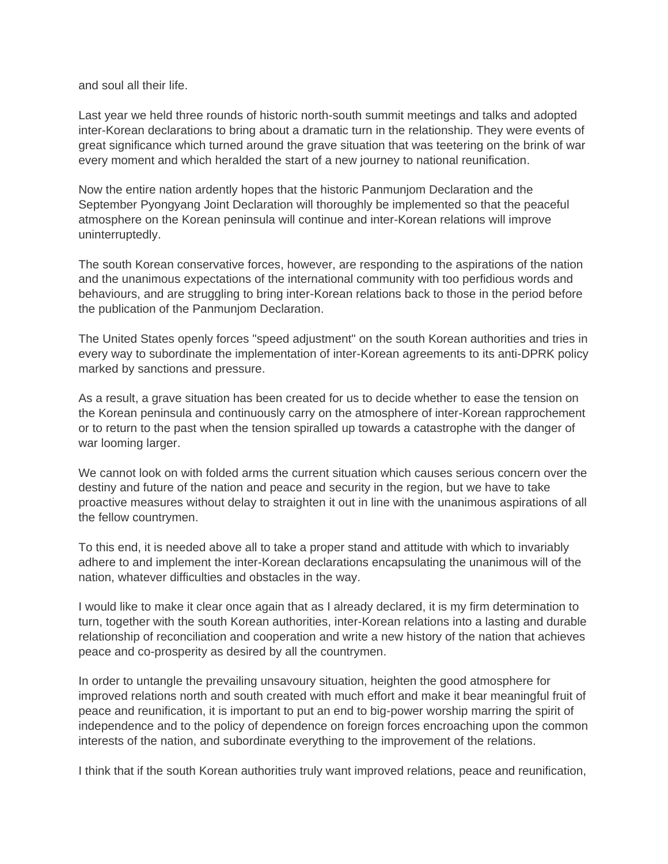and soul all their life.

Last year we held three rounds of historic north-south summit meetings and talks and adopted inter-Korean declarations to bring about a dramatic turn in the relationship. They were events of great significance which turned around the grave situation that was teetering on the brink of war every moment and which heralded the start of a new journey to national reunification.

Now the entire nation ardently hopes that the historic Panmunjom Declaration and the September Pyongyang Joint Declaration will thoroughly be implemented so that the peaceful atmosphere on the Korean peninsula will continue and inter-Korean relations will improve uninterruptedly.

The south Korean conservative forces, however, are responding to the aspirations of the nation and the unanimous expectations of the international community with too perfidious words and behaviours, and are struggling to bring inter-Korean relations back to those in the period before the publication of the Panmunjom Declaration.

The United States openly forces "speed adjustment" on the south Korean authorities and tries in every way to subordinate the implementation of inter-Korean agreements to its anti-DPRK policy marked by sanctions and pressure.

As a result, a grave situation has been created for us to decide whether to ease the tension on the Korean peninsula and continuously carry on the atmosphere of inter-Korean rapprochement or to return to the past when the tension spiralled up towards a catastrophe with the danger of war looming larger.

We cannot look on with folded arms the current situation which causes serious concern over the destiny and future of the nation and peace and security in the region, but we have to take proactive measures without delay to straighten it out in line with the unanimous aspirations of all the fellow countrymen.

To this end, it is needed above all to take a proper stand and attitude with which to invariably adhere to and implement the inter-Korean declarations encapsulating the unanimous will of the nation, whatever difficulties and obstacles in the way.

I would like to make it clear once again that as I already declared, it is my firm determination to turn, together with the south Korean authorities, inter-Korean relations into a lasting and durable relationship of reconciliation and cooperation and write a new history of the nation that achieves peace and co-prosperity as desired by all the countrymen.

In order to untangle the prevailing unsavoury situation, heighten the good atmosphere for improved relations north and south created with much effort and make it bear meaningful fruit of peace and reunification, it is important to put an end to big-power worship marring the spirit of independence and to the policy of dependence on foreign forces encroaching upon the common interests of the nation, and subordinate everything to the improvement of the relations.

I think that if the south Korean authorities truly want improved relations, peace and reunification,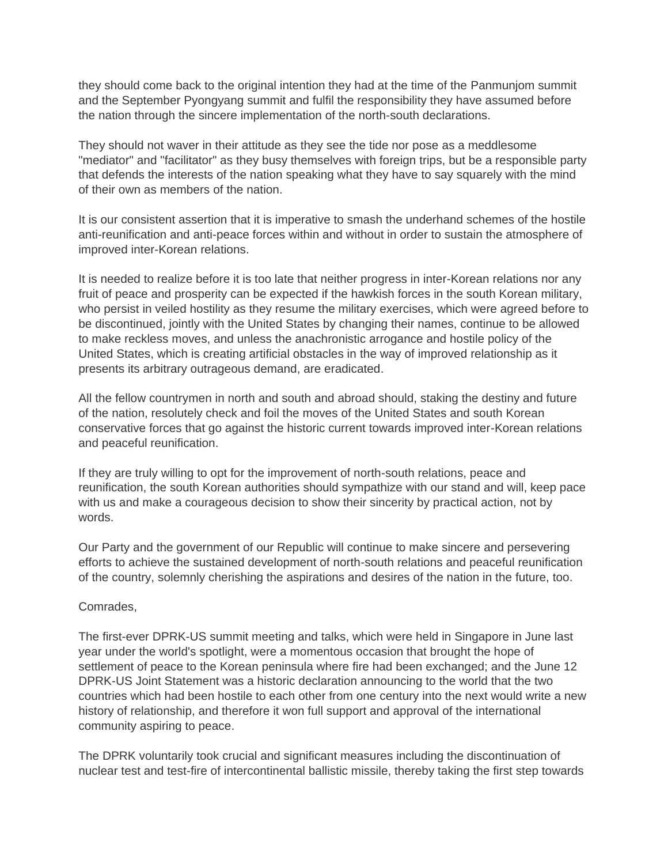they should come back to the original intention they had at the time of the Panmunjom summit and the September Pyongyang summit and fulfil the responsibility they have assumed before the nation through the sincere implementation of the north-south declarations.

They should not waver in their attitude as they see the tide nor pose as a meddlesome "mediator" and "facilitator" as they busy themselves with foreign trips, but be a responsible party that defends the interests of the nation speaking what they have to say squarely with the mind of their own as members of the nation.

It is our consistent assertion that it is imperative to smash the underhand schemes of the hostile anti-reunification and anti-peace forces within and without in order to sustain the atmosphere of improved inter-Korean relations.

It is needed to realize before it is too late that neither progress in inter-Korean relations nor any fruit of peace and prosperity can be expected if the hawkish forces in the south Korean military, who persist in veiled hostility as they resume the military exercises, which were agreed before to be discontinued, jointly with the United States by changing their names, continue to be allowed to make reckless moves, and unless the anachronistic arrogance and hostile policy of the United States, which is creating artificial obstacles in the way of improved relationship as it presents its arbitrary outrageous demand, are eradicated.

All the fellow countrymen in north and south and abroad should, staking the destiny and future of the nation, resolutely check and foil the moves of the United States and south Korean conservative forces that go against the historic current towards improved inter-Korean relations and peaceful reunification.

If they are truly willing to opt for the improvement of north-south relations, peace and reunification, the south Korean authorities should sympathize with our stand and will, keep pace with us and make a courageous decision to show their sincerity by practical action, not by words.

Our Party and the government of our Republic will continue to make sincere and persevering efforts to achieve the sustained development of north-south relations and peaceful reunification of the country, solemnly cherishing the aspirations and desires of the nation in the future, too.

# Comrades,

The first-ever DPRK-US summit meeting and talks, which were held in Singapore in June last year under the world's spotlight, were a momentous occasion that brought the hope of settlement of peace to the Korean peninsula where fire had been exchanged; and the June 12 DPRK-US Joint Statement was a historic declaration announcing to the world that the two countries which had been hostile to each other from one century into the next would write a new history of relationship, and therefore it won full support and approval of the international community aspiring to peace.

The DPRK voluntarily took crucial and significant measures including the discontinuation of nuclear test and test-fire of intercontinental ballistic missile, thereby taking the first step towards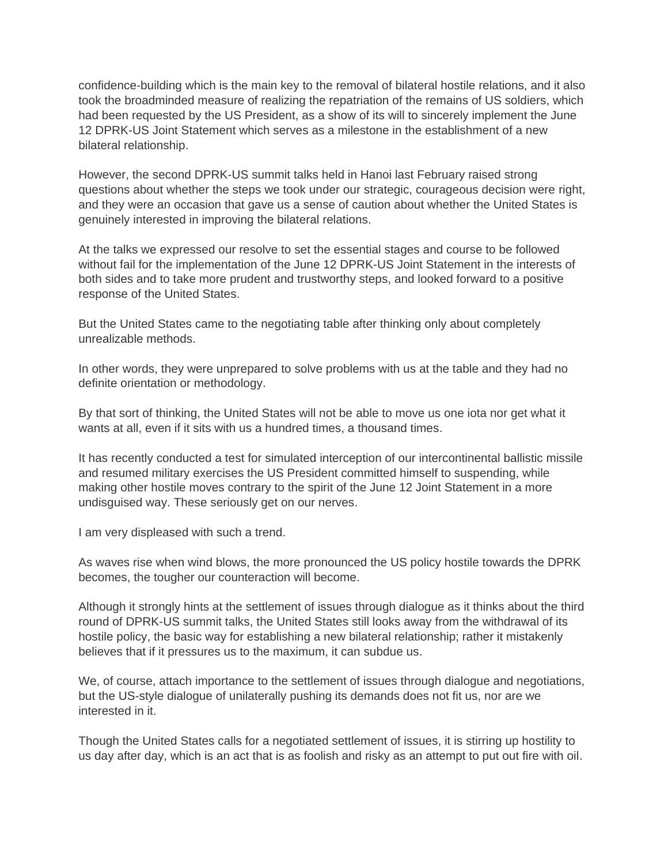confidence-building which is the main key to the removal of bilateral hostile relations, and it also took the broadminded measure of realizing the repatriation of the remains of US soldiers, which had been requested by the US President, as a show of its will to sincerely implement the June 12 DPRK-US Joint Statement which serves as a milestone in the establishment of a new bilateral relationship.

However, the second DPRK-US summit talks held in Hanoi last February raised strong questions about whether the steps we took under our strategic, courageous decision were right, and they were an occasion that gave us a sense of caution about whether the United States is genuinely interested in improving the bilateral relations.

At the talks we expressed our resolve to set the essential stages and course to be followed without fail for the implementation of the June 12 DPRK-US Joint Statement in the interests of both sides and to take more prudent and trustworthy steps, and looked forward to a positive response of the United States.

But the United States came to the negotiating table after thinking only about completely unrealizable methods.

In other words, they were unprepared to solve problems with us at the table and they had no definite orientation or methodology.

By that sort of thinking, the United States will not be able to move us one iota nor get what it wants at all, even if it sits with us a hundred times, a thousand times.

It has recently conducted a test for simulated interception of our intercontinental ballistic missile and resumed military exercises the US President committed himself to suspending, while making other hostile moves contrary to the spirit of the June 12 Joint Statement in a more undisguised way. These seriously get on our nerves.

I am very displeased with such a trend.

As waves rise when wind blows, the more pronounced the US policy hostile towards the DPRK becomes, the tougher our counteraction will become.

Although it strongly hints at the settlement of issues through dialogue as it thinks about the third round of DPRK-US summit talks, the United States still looks away from the withdrawal of its hostile policy, the basic way for establishing a new bilateral relationship; rather it mistakenly believes that if it pressures us to the maximum, it can subdue us.

We, of course, attach importance to the settlement of issues through dialogue and negotiations, but the US-style dialogue of unilaterally pushing its demands does not fit us, nor are we interested in it.

Though the United States calls for a negotiated settlement of issues, it is stirring up hostility to us day after day, which is an act that is as foolish and risky as an attempt to put out fire with oil.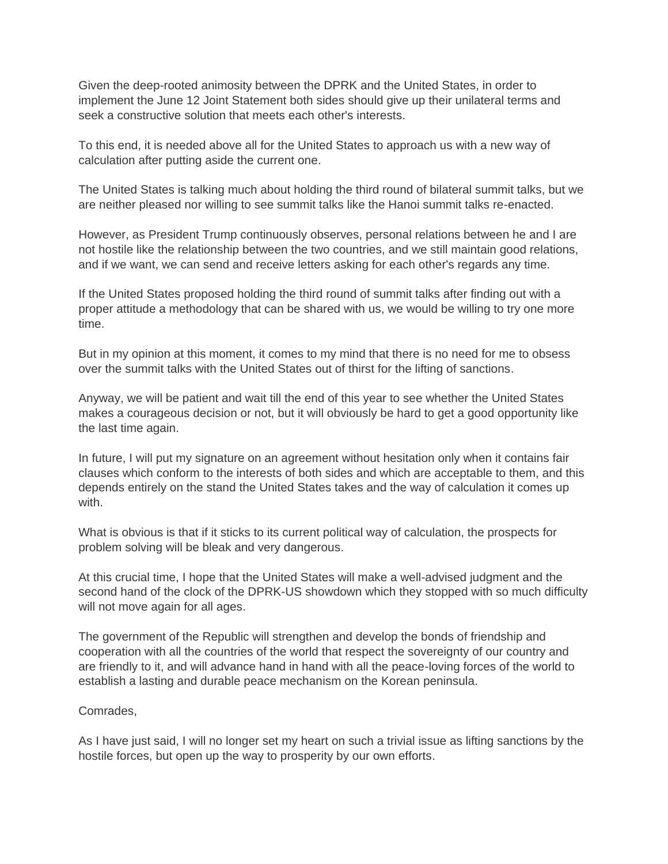Given the deep-rooted animosity between the DPRK and the United States, in order to implement the June 12 Joint Statement both sides should give up their unilateral terms and seek a constructive solution that meets each other's interests.

To this end, it is needed above all for the United States to approach us with a new way of calculation after putting aside the current one.

The United States is talking much about holding the third round of bilateral summit talks, but we are neither pleased nor willing to see summit talks like the Hanoi summit talks re-enacted.

However, as President Trump continuously observes, personal relations between he and I are not hostile like the relationship between the two countries, and we still maintain good relations, and if we want, we can send and receive letters asking for each other's regards any time.

If the United States proposed holding the third round of summit talks after finding out with a proper attitude a methodology that can be shared with us, we would be willing to try one more time.

But in my opinion at this moment, it comes to my mind that there is no need for me to obsess over the summit talks with the United States out of thirst for the lifting of sanctions.

Anyway, we will be patient and wait till the end of this year to see whether the United States makes a courageous decision or not, but it will obviously be hard to get a good opportunity like the last time again.

In future, I will put my signature on an agreement without hesitation only when it contains fair clauses which conform to the interests of both sides and which are acceptable to them, and this depends entirely on the stand the United States takes and the way of calculation it comes up with

What is obvious is that if it sticks to its current political way of calculation, the prospects for problem solving will be bleak and very dangerous.

At this crucial time, I hope that the United States will make a well-advised judgment and the second hand of the clock of the DPRK-US showdown which they stopped with so much difficulty will not move again for all ages.

The government of the Republic will strengthen and develop the bonds of friendship and cooperation with all the countries of the world that respect the sovereignty of our country and are friendly to it, and will advance hand in hand with all the peace-loving forces of the world to establish a lasting and durable peace mechanism on the Korean peninsula.

# Comrades,

As I have just said, I will no longer set my heart on such a trivial issue as lifting sanctions by the hostile forces, but open up the way to prosperity by our own efforts.